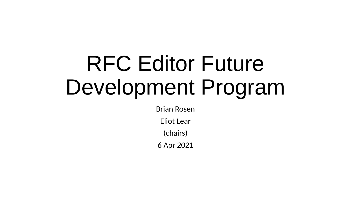# RFC Editor Future Development Program

Brian Rosen

Eliot Lear

(chairs)

6 Apr 2021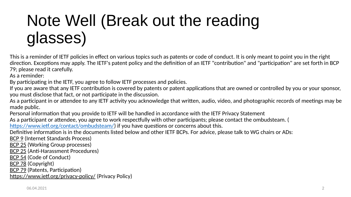## Note Well (Break out the reading glasses)

This is a reminder of IETF policies in effect on various topics such as patents or code of conduct. It is only meant to point you in the right direction. Exceptions may apply. The IETF's patent policy and the definition of an IETF "contribution" and "participation" are set forth in BCP 79; please read it carefully.

As a reminder:

By participating in the IETF, you agree to follow IETF processes and policies.

If you are aware that any IETF contribution is covered by patents or patent applications that are owned or controlled by you or your sponsor, you must disclose that fact, or not participate in the discussion.

As a participant in or attendee to any IETF activity you acknowledge that written, audio, video, and photographic records of meetings may be made public.

Personal information that you provide to IETF will be handled in accordance with the IETF Privacy Statement

As a participant or attendee, you agree to work respectfully with other participants; please contact the ombudsteam. (

[https://www.ietf.org/contact/ombudsteam/\)](https://www.ietf.org/contact/ombudsteam/) if you have questions or concerns about this.

Definitive information is in the documents listed below and other IETF BCPs. For advice, please talk to WG chairs or ADs:

[BCP 9](https://www.rfc-editor.org/info/bcp9) (Internet Standards Process)

[BCP 25](https://www.rfc-editor.org/info/bcp25) (Working Group processes)

[BCP 25](https://www.rfc-editor.org/info/bcp25) (Anti-Harassment Procedures)

[BCP 54](https://www.rfc-editor.org/info/bcp54) (Code of Conduct)

[BCP 78](https://www.rfc-editor.org/info/bcp78) (Copyright)

[BCP 79](https://www.rfc-editor.org/info/bcp79) (Patents, Participation)

[https://www.ietf.org/privacy-policy/](https://www.ietf.org/privacy-statement/) (Privacy Policy)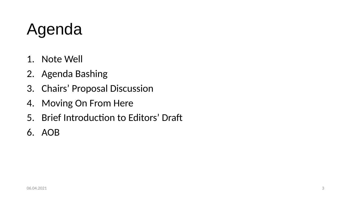## Agenda

- 1. Note Well
- 2. Agenda Bashing
- 3. Chairs' Proposal Discussion
- 4. Moving On From Here
- 5. Brief Introduction to Editors' Draft
- 6. AOB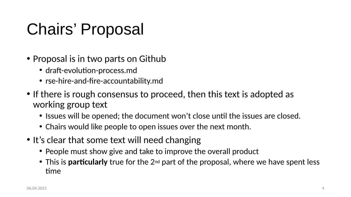## Chairs' Proposal

- Proposal is in two parts on Github
	- draft-evolution-process.md
	- rse-hire-and-fire-accountability.md
- If there is rough consensus to proceed, then this text is adopted as working group text
	- Issues will be opened; the document won't close until the issues are closed.
	- Chairs would like people to open issues over the next month.
- It's clear that some text will need changing
	- People must show give and take to improve the overall product
	- This is **particularly** true for the 2<sup>nd</sup> part of the proposal, where we have spent less time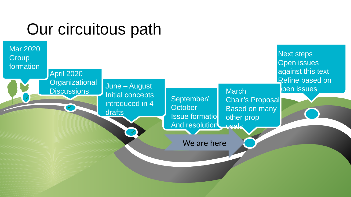#### Our circuitous path

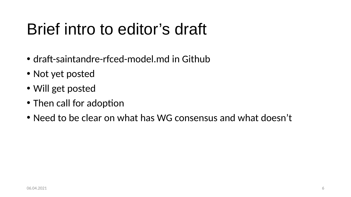#### Brief intro to editor's draft

- draft-saintandre-rfced-model.md in Github
- Not yet posted
- Will get posted
- Then call for adoption
- Need to be clear on what has WG consensus and what doesn't